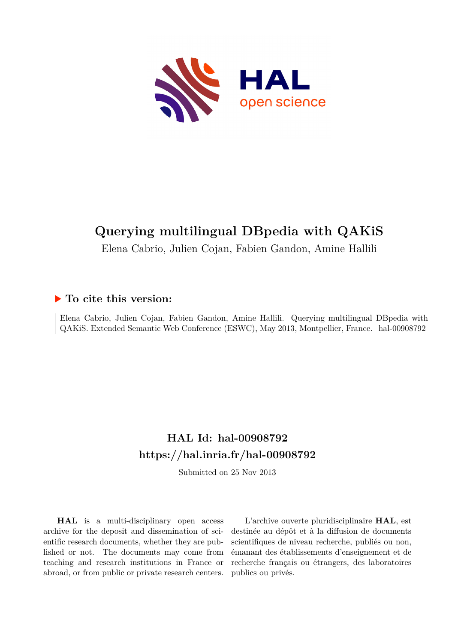

# **Querying multilingual DBpedia with QAKiS**

Elena Cabrio, Julien Cojan, Fabien Gandon, Amine Hallili

## **To cite this version:**

Elena Cabrio, Julien Cojan, Fabien Gandon, Amine Hallili. Querying multilingual DBpedia with QAKiS. Extended Semantic Web Conference (ESWC), May 2013, Montpellier, France. hal-00908792

## **HAL Id: hal-00908792 <https://hal.inria.fr/hal-00908792>**

Submitted on 25 Nov 2013

**HAL** is a multi-disciplinary open access archive for the deposit and dissemination of scientific research documents, whether they are published or not. The documents may come from teaching and research institutions in France or abroad, or from public or private research centers.

L'archive ouverte pluridisciplinaire **HAL**, est destinée au dépôt et à la diffusion de documents scientifiques de niveau recherche, publiés ou non, émanant des établissements d'enseignement et de recherche français ou étrangers, des laboratoires publics ou privés.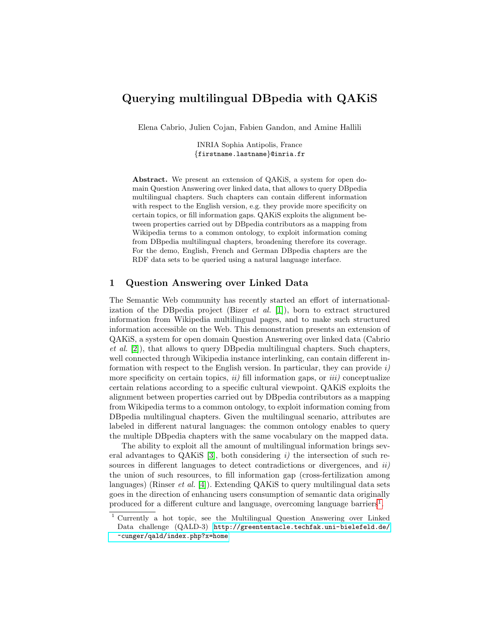### Querying multilingual DBpedia with QAKiS

Elena Cabrio, Julien Cojan, Fabien Gandon, and Amine Hallili

INRIA Sophia Antipolis, France {firstname.lastname}@inria.fr

Abstract. We present an extension of QAKiS, a system for open domain Question Answering over linked data, that allows to query DBpedia multilingual chapters. Such chapters can contain different information with respect to the English version, e.g. they provide more specificity on certain topics, or fill information gaps. QAKiS exploits the alignment between properties carried out by DBpedia contributors as a mapping from Wikipedia terms to a common ontology, to exploit information coming from DBpedia multilingual chapters, broadening therefore its coverage. For the demo, English, French and German DBpedia chapters are the RDF data sets to be queried using a natural language interface.

#### 1 Question Answering over Linked Data

The Semantic Web community has recently started an effort of internationalization of the DB pedia project (Bizer *et al.* [\[1\]](#page-5-0)), born to extract structured information from Wikipedia multilingual pages, and to make such structured information accessible on the Web. This demonstration presents an extension of QAKiS, a system for open domain Question Answering over linked data (Cabrio et al. [\[2\]](#page-5-1)), that allows to query DBpedia multilingual chapters. Such chapters, well connected through Wikipedia instance interlinking, can contain different information with respect to the English version. In particular, they can provide  $i$ ) more specificity on certain topics,  $ii$ ) fill information gaps, or  $iii$ ) conceptualize certain relations according to a specific cultural viewpoint. QAKiS exploits the alignment between properties carried out by DBpedia contributors as a mapping from Wikipedia terms to a common ontology, to exploit information coming from DBpedia multilingual chapters. Given the multilingual scenario, attributes are labeled in different natural languages: the common ontology enables to query the multiple DBpedia chapters with the same vocabulary on the mapped data.

The ability to exploit all the amount of multilingual information brings sev-eral advantages to QAKIS [\[3\]](#page-5-2), both considering  $i$ ) the intersection of such resources in different languages to detect contradictions or divergences, and  $ii$ ) the union of such resources, to fill information gap (cross-fertilization among languages) (Rinser et al. [\[4\]](#page-5-3)). Extending QAKiS to query multilingual data sets goes in the direction of enhancing users consumption of semantic data originally produced for a different culture and language, overcoming language barriers<sup>[1](#page-1-0)</sup>.

<span id="page-1-0"></span><sup>1</sup> Currently a hot topic, see the Multilingual Question Answering over Linked Data challenge (QALD-3) [http://greententacle.techfak.uni-bielefeld.de/](http://greententacle.techfak.uni-bielefeld.de/~cunger/qald/index.php?x=home) [~cunger/qald/index.php?x=home](http://greententacle.techfak.uni-bielefeld.de/~cunger/qald/index.php?x=home)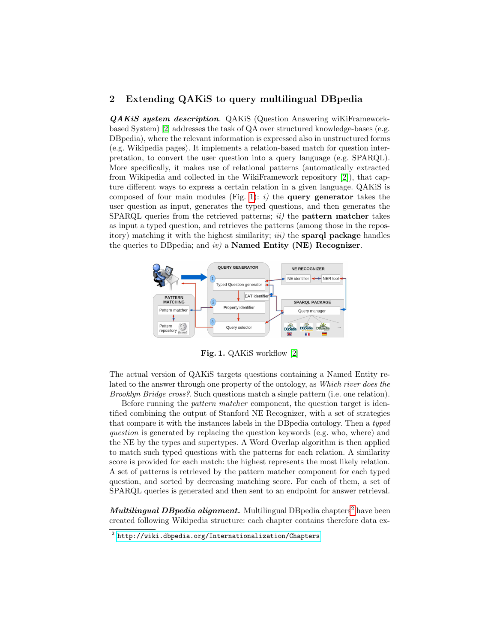#### 2 Extending QAKiS to query multilingual DBpedia

QAKiS system description. QAKiS (Question Answering wiKiFrameworkbased System) [\[2\]](#page-5-1) addresses the task of QA over structured knowledge-bases (e.g. DBpedia), where the relevant information is expressed also in unstructured forms (e.g. Wikipedia pages). It implements a relation-based match for question interpretation, to convert the user question into a query language (e.g. SPARQL). More specifically, it makes use of relational patterns (automatically extracted from Wikipedia and collected in the WikiFramework repository [\[2\]](#page-5-1)), that capture different ways to express a certain relation in a given language. QAKiS is composed of four main modules (Fig. [1\)](#page-2-0): i) the **query generator** takes the user question as input, generates the typed questions, and then generates the SPARQL queries from the retrieved patterns;  $ii)$  the **pattern matcher** takes as input a typed question, and retrieves the patterns (among those in the repository) matching it with the highest similarity;  $iii)$  the sparql package handles the queries to DBpedia; and  $iv$ ) a Named Entity (NE) Recognizer.



<span id="page-2-0"></span>Fig. 1. QAKiS workflow [\[2\]](#page-5-1)

The actual version of QAKiS targets questions containing a Named Entity related to the answer through one property of the ontology, as Which river does the Brooklyn Bridge cross?. Such questions match a single pattern (i.e. one relation).

Before running the pattern matcher component, the question target is identified combining the output of Stanford NE Recognizer, with a set of strategies that compare it with the instances labels in the DBpedia ontology. Then a typed question is generated by replacing the question keywords (e.g. who, where) and the NE by the types and supertypes. A Word Overlap algorithm is then applied to match such typed questions with the patterns for each relation. A similarity score is provided for each match: the highest represents the most likely relation. A set of patterns is retrieved by the pattern matcher component for each typed question, and sorted by decreasing matching score. For each of them, a set of SPARQL queries is generated and then sent to an endpoint for answer retrieval.

**Multilingual DBpedia alignment.** Multilingual DB pedia chapters<sup>[2](#page-2-1)</sup> have been created following Wikipedia structure: each chapter contains therefore data ex-

<span id="page-2-1"></span> $^2$  <http://wiki.dbpedia.org/Internationalization/Chapters>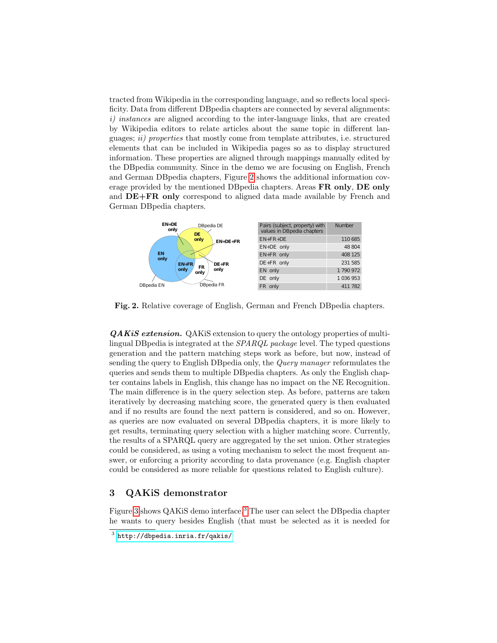tracted from Wikipedia in the corresponding language, and so reflects local specificity. Data from different DBpedia chapters are connected by several alignments: i) instances are aligned according to the inter-language links, that are created by Wikipedia editors to relate articles about the same topic in different languages; ii) properties that mostly come from template attributes, i.e. structured elements that can be included in Wikipedia pages so as to display structured information. These properties are aligned through mappings manually edited by the DBpedia community. Since in the demo we are focusing on English, French and German DBpedia chapters, Figure [2](#page-3-0) shows the additional information coverage provided by the mentioned DBpedia chapters. Areas FR only, DE only and DE+FR only correspond to aligned data made available by French and German DBpedia chapters.



<span id="page-3-0"></span>Fig. 2. Relative coverage of English, German and French DBpedia chapters.

QAKiS extension. QAKiS extension to query the ontology properties of multilingual DBpedia is integrated at the SPARQL package level. The typed questions generation and the pattern matching steps work as before, but now, instead of sending the query to English DBpedia only, the *Query manager* reformulates the queries and sends them to multiple DBpedia chapters. As only the English chapter contains labels in English, this change has no impact on the NE Recognition. The main difference is in the query selection step. As before, patterns are taken iteratively by decreasing matching score, the generated query is then evaluated and if no results are found the next pattern is considered, and so on. However, as queries are now evaluated on several DBpedia chapters, it is more likely to get results, terminating query selection with a higher matching score. Currently, the results of a SPARQL query are aggregated by the set union. Other strategies could be considered, as using a voting mechanism to select the most frequent answer, or enforcing a priority according to data provenance (e.g. English chapter could be considered as more reliable for questions related to English culture).

#### 3 QAKiS demonstrator

Figure [3](#page-4-0) shows QAKiS demo interface.[3](#page-3-1) The user can select the DBpedia chapter he wants to query besides English (that must be selected as it is needed for

<span id="page-3-1"></span> $^3$  <http://dbpedia.inria.fr/qakis/>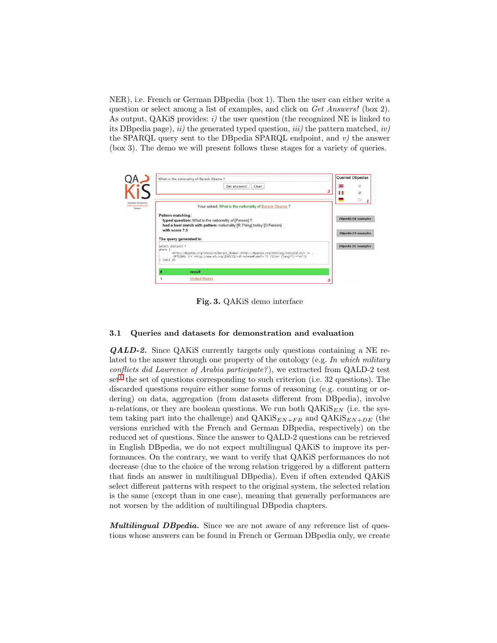NER), i.e. French or German DBpedia (box 1). Then the user can either write a question or select among a list of examples, and click on Get Answers! (box 2). As output,  $QAKiS$  provides: i) the user question (the recognized NE is linked to its DB pedia page),  $ii)$  the generated typed question,  $iii)$  the pattern matched,  $iv)$ the SPARQL query sent to the DB pedia SPARQL endpoint, and  $v$ ) the answer (box 3). The demo we will present follows these stages for a variety of queries.



Fig. 3. QAKiS demo interface

#### <span id="page-4-0"></span>3.1 Queries and datasets for demonstration and evaluation

QALD-2. Since QAKiS currently targets only questions containing a NE related to the answer through one property of the ontology (e.g. In which military conflicts did Lawrence of Arabia participate?), we extracted from QALD-2 test  $set<sup>1</sup>$  $set<sup>1</sup>$  $set<sup>1</sup>$  the set of questions corresponding to such criterion (i.e. 32 questions). The discarded questions require either some forms of reasoning (e.g. counting or ordering) on data, aggregation (from datasets different from DBpedia), involve n-relations, or they are boolean questions. We run both  $\mathbf{QAKiS}_{EN}$  (i.e. the system taking part into the challenge) and  $\mathbf{QAKiS}_{EN+FR}$  and  $\mathbf{QAKiS}_{EN+DE}$  (the versions enriched with the French and German DBpedia, respectively) on the reduced set of questions. Since the answer to QALD-2 questions can be retrieved in English DBpedia, we do not expect multilingual QAKiS to improve its performances. On the contrary, we want to verify that QAKiS performances do not decrease (due to the choice of the wrong relation triggered by a different pattern that finds an answer in multilingual DBpedia). Even if often extended QAKiS select different patterns with respect to the original system, the selected relation is the same (except than in one case), meaning that generally performances are not worsen by the addition of multilingual DBpedia chapters.

Multilingual DB pedia. Since we are not aware of any reference list of questions whose answers can be found in French or German DBpedia only, we create